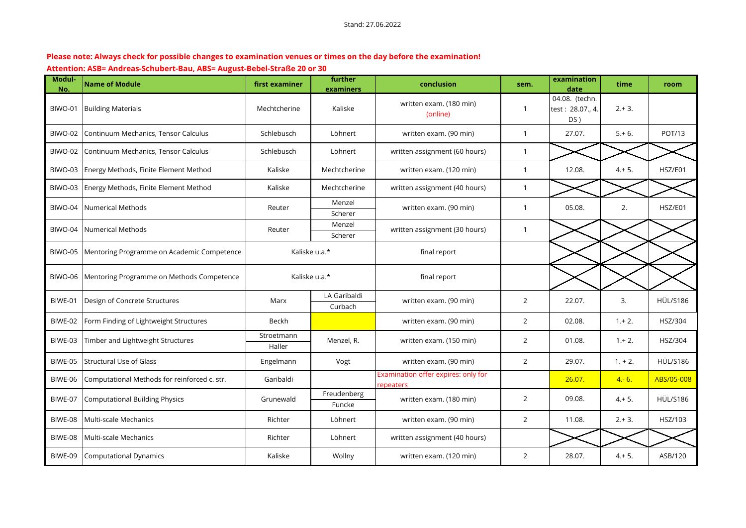## **Please note: Always check for possible changes to examination venues or times on the day before the examination! Attention: ASB= Andreas-Schubert-Bau, ABS= August-Bebel-Straße 20 or 30**

| Modul-<br>No. | <b>Name of Module</b>                        | first examiner       | further<br>examiners    | conclusion                                       | sem.           | examination<br>date                       | time      | room            |
|---------------|----------------------------------------------|----------------------|-------------------------|--------------------------------------------------|----------------|-------------------------------------------|-----------|-----------------|
| BIWO-01       | <b>Building Materials</b>                    | Mechtcherine         | Kaliske                 | written exam. (180 min)<br>(online)              | $\overline{1}$ | 04.08. (techn.<br>test: 28.07., 4.<br>DS) | $2.+3.$   |                 |
| BIWO-02       | Continuum Mechanics, Tensor Calculus         | Schlebusch           | Löhnert                 | written exam. (90 min)                           | $\mathbf{1}$   | 27.07.                                    | $5.+6.$   | <b>POT/13</b>   |
| BIWO-02       | Continuum Mechanics, Tensor Calculus         | Schlebusch           | Löhnert                 | written assignment (60 hours)                    | $\overline{1}$ |                                           |           |                 |
| BIWO-03       | Energy Methods, Finite Element Method        | Kaliske              | Mechtcherine            | written exam. (120 min)                          | $\mathbf{1}$   | 12.08.                                    | $4+5.$    | HSZ/E01         |
| BIWO-03       | Energy Methods, Finite Element Method        | Kaliske              | Mechtcherine            | written assignment (40 hours)                    | $\mathbf{1}$   |                                           |           |                 |
| BIWO-04       | <b>Numerical Methods</b>                     | Reuter               | Menzel<br>Scherer       | written exam. (90 min)                           | $\mathbf 1$    | 05.08.                                    | 2.        | HSZ/E01         |
| BIWO-04       | Numerical Methods                            | Reuter               | Menzel<br>Scherer       | written assignment (30 hours)                    | $\overline{1}$ |                                           |           |                 |
| BIWO-05       | Mentoring Programme on Academic Competence   |                      | Kaliske u.a.*           | final report                                     |                |                                           |           |                 |
| BIWO-06       | Mentoring Programme on Methods Competence    |                      | Kaliske u.a.*           | final report                                     |                |                                           |           |                 |
| BIWE-01       | Design of Concrete Structures                | Marx                 | LA Garibaldi<br>Curbach | written exam. (90 min)                           | $\overline{2}$ | 22.07.                                    | 3.        | <b>HÜL/S186</b> |
| BIWE-02       | Form Finding of Lightweight Structures       | Beckh                |                         | written exam. (90 min)                           | $\overline{2}$ | 02.08.                                    | $1.+2.$   | HSZ/304         |
| BIWE-03       | Timber and Lightweight Structures            | Stroetmann<br>Haller | Menzel, R.              | written exam. (150 min)                          | $\overline{2}$ | 01.08.                                    | $1.+2.$   | HSZ/304         |
| BIWE-05       | Structural Use of Glass                      | Engelmann            | Vogt                    | written exam. (90 min)                           | $\overline{2}$ | 29.07.                                    | $1. + 2.$ | <b>HÜL/S186</b> |
| BIWE-06       | Computational Methods for reinforced c. str. | Garibaldi            |                         | Examination offer expires: only for<br>repeaters |                | 26.07.                                    | $4 - 6.$  | ABS/05-008      |
| BIWE-07       | <b>Computational Building Physics</b>        | Grunewald            | Freudenberg<br>Funcke   | written exam. (180 min)                          | $\overline{2}$ | 09.08.                                    | $4.+5.$   | <b>HÜL/S186</b> |
| BIWE-08       | Multi-scale Mechanics                        | Richter              | Löhnert                 | written exam. (90 min)                           | $\overline{2}$ | 11.08.                                    | $2.+3.$   | HSZ/103         |
| BIWE-08       | Multi-scale Mechanics                        | Richter              | Löhnert                 | written assignment (40 hours)                    |                |                                           |           |                 |
| BIWE-09       | <b>Computational Dynamics</b>                | Kaliske              | Wollny                  | written exam. (120 min)                          | $\overline{2}$ | 28.07.                                    | $4. + 5.$ | ASB/120         |